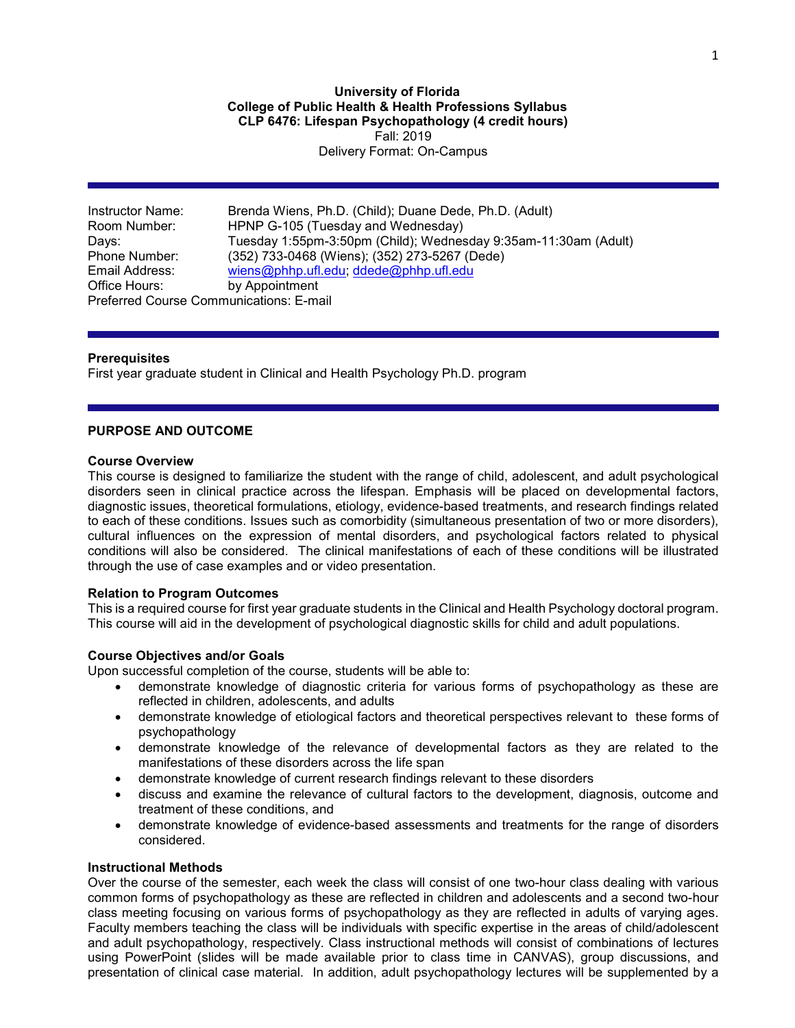**University of Florida College of Public Health & Health Professions Syllabus CLP 6476: Lifespan Psychopathology (4 credit hours)** Fall: 2019 Delivery Format: On-Campus

Instructor Name: Brenda Wiens, Ph.D. (Child); Duane Dede, Ph.D. (Adult) Room Number: HPNP G-105 (Tuesday and Wednesday) Days: Tuesday 1:55pm-3:50pm (Child); Wednesday 9:35am-11:30am (Adult)<br>Phone Number: (352) 733-0468 (Wiens); (352) 273-5267 (Dede) (352) 733-0468 (Wiens); (352) 273-5267 (Dede) Email Address: [wiens@phhp.ufl.edu;](mailto:wiens@phhp.ufl.edu) [ddede@phhp.ufl.edu](mailto:ddede@phhp.ufl.edu)<br>Office Hours: by Appointment by Appointment Preferred Course Communications: E-mail

### **Prerequisites**

First year graduate student in Clinical and Health Psychology Ph.D. program

### **PURPOSE AND OUTCOME**

#### **Course Overview**

This course is designed to familiarize the student with the range of child, adolescent, and adult psychological disorders seen in clinical practice across the lifespan. Emphasis will be placed on developmental factors, diagnostic issues, theoretical formulations, etiology, evidence-based treatments, and research findings related to each of these conditions. Issues such as comorbidity (simultaneous presentation of two or more disorders), cultural influences on the expression of mental disorders, and psychological factors related to physical conditions will also be considered. The clinical manifestations of each of these conditions will be illustrated through the use of case examples and or video presentation.

### **Relation to Program Outcomes**

This is a required course for first year graduate students in the Clinical and Health Psychology doctoral program. This course will aid in the development of psychological diagnostic skills for child and adult populations.

### **Course Objectives and/or Goals**

Upon successful completion of the course, students will be able to:

- demonstrate knowledge of diagnostic criteria for various forms of psychopathology as these are reflected in children, adolescents, and adults
- demonstrate knowledge of etiological factors and theoretical perspectives relevant to these forms of psychopathology
- demonstrate knowledge of the relevance of developmental factors as they are related to the manifestations of these disorders across the life span
- demonstrate knowledge of current research findings relevant to these disorders
- discuss and examine the relevance of cultural factors to the development, diagnosis, outcome and treatment of these conditions, and
- demonstrate knowledge of evidence-based assessments and treatments for the range of disorders considered.

### **Instructional Methods**

Over the course of the semester, each week the class will consist of one two-hour class dealing with various common forms of psychopathology as these are reflected in children and adolescents and a second two-hour class meeting focusing on various forms of psychopathology as they are reflected in adults of varying ages. Faculty members teaching the class will be individuals with specific expertise in the areas of child/adolescent and adult psychopathology, respectively. Class instructional methods will consist of combinations of lectures using PowerPoint (slides will be made available prior to class time in CANVAS), group discussions, and presentation of clinical case material. In addition, adult psychopathology lectures will be supplemented by a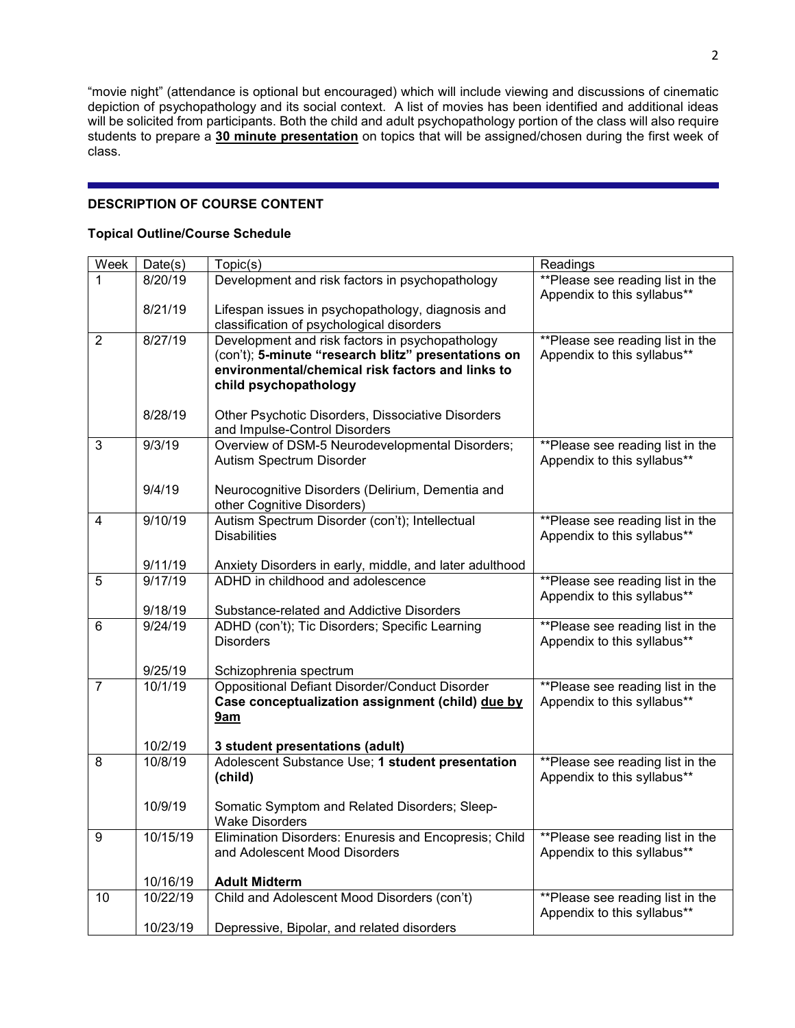"movie night" (attendance is optional but encouraged) which will include viewing and discussions of cinematic depiction of psychopathology and its social context. A list of movies has been identified and additional ideas will be solicited from participants. Both the child and adult psychopathology portion of the class will also require students to prepare a **30 minute presentation** on topics that will be assigned/chosen during the first week of class.

# **DESCRIPTION OF COURSE CONTENT**

### **Topical Outline/Course Schedule**

| Week           | Date(s)            | Topic(s)                                                                                                | Readings                                                        |
|----------------|--------------------|---------------------------------------------------------------------------------------------------------|-----------------------------------------------------------------|
|                | 8/20/19            | Development and risk factors in psychopathology                                                         | **Please see reading list in the                                |
|                |                    |                                                                                                         | Appendix to this syllabus**                                     |
|                | 8/21/19            | Lifespan issues in psychopathology, diagnosis and                                                       |                                                                 |
|                |                    | classification of psychological disorders                                                               |                                                                 |
| $\overline{2}$ | 8/27/19            | Development and risk factors in psychopathology                                                         | **Please see reading list in the                                |
|                |                    | (con't); 5-minute "research blitz" presentations on<br>environmental/chemical risk factors and links to | Appendix to this syllabus**                                     |
|                |                    | child psychopathology                                                                                   |                                                                 |
|                |                    |                                                                                                         |                                                                 |
|                | 8/28/19            | Other Psychotic Disorders, Dissociative Disorders                                                       |                                                                 |
|                |                    | and Impulse-Control Disorders                                                                           |                                                                 |
| 3              | 9/3/19             | Overview of DSM-5 Neurodevelopmental Disorders;                                                         | **Please see reading list in the                                |
|                |                    | Autism Spectrum Disorder                                                                                | Appendix to this syllabus**                                     |
|                |                    |                                                                                                         |                                                                 |
|                | 9/4/19             | Neurocognitive Disorders (Delirium, Dementia and                                                        |                                                                 |
|                |                    | other Cognitive Disorders)                                                                              |                                                                 |
| 4              | 9/10/19            | Autism Spectrum Disorder (con't); Intellectual<br><b>Disabilities</b>                                   | **Please see reading list in the<br>Appendix to this syllabus** |
|                |                    |                                                                                                         |                                                                 |
|                | 9/11/19            | Anxiety Disorders in early, middle, and later adulthood                                                 |                                                                 |
| 5              | 9/17/19            | ADHD in childhood and adolescence                                                                       | **Please see reading list in the                                |
|                |                    |                                                                                                         | Appendix to this syllabus**                                     |
|                | 9/18/19            | Substance-related and Addictive Disorders                                                               |                                                                 |
| 6              | 9/24/19            | ADHD (con't); Tic Disorders; Specific Learning                                                          | **Please see reading list in the                                |
|                |                    | <b>Disorders</b>                                                                                        | Appendix to this syllabus**                                     |
|                |                    |                                                                                                         |                                                                 |
| $\overline{7}$ | 9/25/19<br>10/1/19 | Schizophrenia spectrum<br><b>Oppositional Defiant Disorder/Conduct Disorder</b>                         | **Please see reading list in the                                |
|                |                    | Case conceptualization assignment (child) due by                                                        | Appendix to this syllabus**                                     |
|                |                    | 9am                                                                                                     |                                                                 |
|                |                    |                                                                                                         |                                                                 |
|                | 10/2/19            | 3 student presentations (adult)                                                                         |                                                                 |
| 8              | 10/8/19            | Adolescent Substance Use; 1 student presentation                                                        | <b>**Please</b> see reading list in the                         |
|                |                    | (child)                                                                                                 | Appendix to this syllabus**                                     |
|                |                    |                                                                                                         |                                                                 |
|                | 10/9/19            | Somatic Symptom and Related Disorders; Sleep-                                                           |                                                                 |
|                | 10/15/19           | <b>Wake Disorders</b><br>Elimination Disorders: Enuresis and Encopresis; Child                          | ** Please see reading list in the                               |
| 9              |                    | and Adolescent Mood Disorders                                                                           | Appendix to this syllabus**                                     |
|                |                    |                                                                                                         |                                                                 |
|                | 10/16/19           | <b>Adult Midterm</b>                                                                                    |                                                                 |
| 10             | 10/22/19           | Child and Adolescent Mood Disorders (con't)                                                             | **Please see reading list in the                                |
|                |                    |                                                                                                         | Appendix to this syllabus**                                     |
|                | 10/23/19           | Depressive, Bipolar, and related disorders                                                              |                                                                 |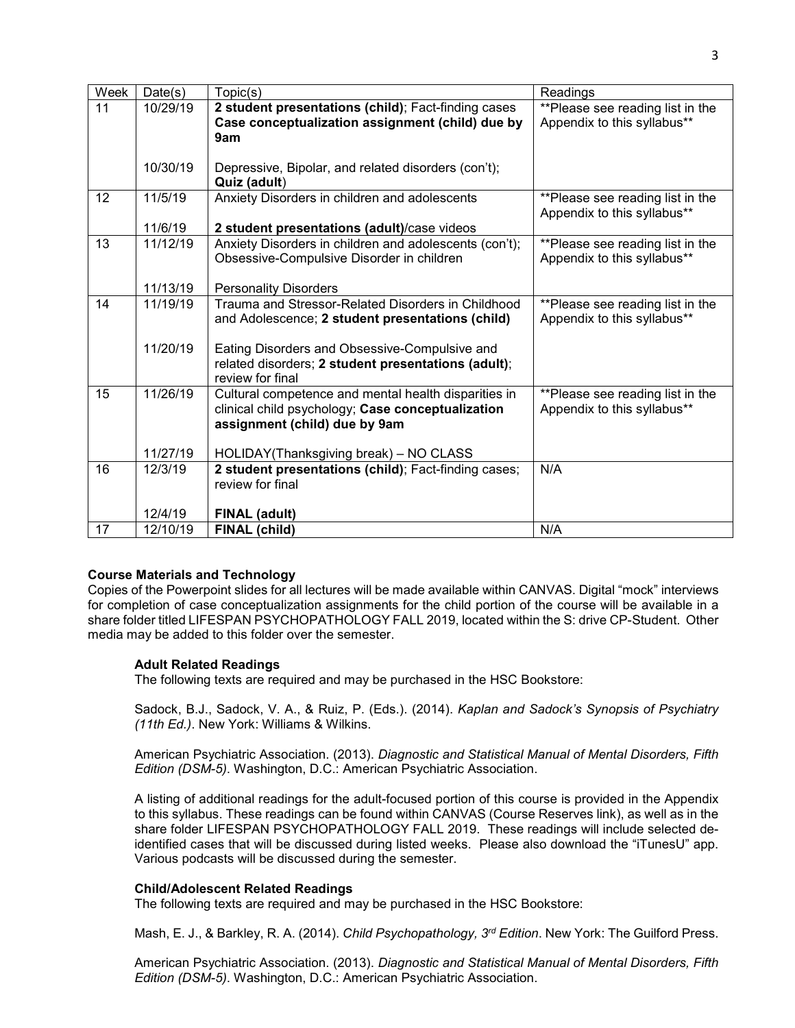| Week | Date(s)  | Topic(s)                                                                                                  | Readings                                                        |
|------|----------|-----------------------------------------------------------------------------------------------------------|-----------------------------------------------------------------|
| 11   | 10/29/19 | 2 student presentations (child); Fact-finding cases                                                       | **Please see reading list in the                                |
|      |          | Case conceptualization assignment (child) due by                                                          | Appendix to this syllabus**                                     |
|      |          | 9am                                                                                                       |                                                                 |
|      |          |                                                                                                           |                                                                 |
|      | 10/30/19 | Depressive, Bipolar, and related disorders (con't);                                                       |                                                                 |
|      |          | Quiz (adult)                                                                                              |                                                                 |
| 12   | 11/5/19  | Anxiety Disorders in children and adolescents                                                             | **Please see reading list in the<br>Appendix to this syllabus** |
|      | 11/6/19  | 2 student presentations (adult)/case videos                                                               |                                                                 |
| 13   | 11/12/19 | Anxiety Disorders in children and adolescents (con't);                                                    | **Please see reading list in the                                |
|      |          | Obsessive-Compulsive Disorder in children                                                                 | Appendix to this syllabus**                                     |
|      |          |                                                                                                           |                                                                 |
|      | 11/13/19 | <b>Personality Disorders</b>                                                                              |                                                                 |
| 14   | 11/19/19 | Trauma and Stressor-Related Disorders in Childhood                                                        | **Please see reading list in the                                |
|      |          | and Adolescence; 2 student presentations (child)                                                          | Appendix to this syllabus**                                     |
|      |          |                                                                                                           |                                                                 |
|      | 11/20/19 | Eating Disorders and Obsessive-Compulsive and                                                             |                                                                 |
|      |          | related disorders; 2 student presentations (adult);                                                       |                                                                 |
|      |          | review for final                                                                                          |                                                                 |
| 15   | 11/26/19 | Cultural competence and mental health disparities in<br>clinical child psychology; Case conceptualization | **Please see reading list in the                                |
|      |          | assignment (child) due by 9am                                                                             | Appendix to this syllabus**                                     |
|      |          |                                                                                                           |                                                                 |
|      | 11/27/19 | HOLIDAY(Thanksgiving break) - NO CLASS                                                                    |                                                                 |
| 16   | 12/3/19  | 2 student presentations (child); Fact-finding cases;                                                      | N/A                                                             |
|      |          | review for final                                                                                          |                                                                 |
|      |          |                                                                                                           |                                                                 |
|      | 12/4/19  | <b>FINAL (adult)</b>                                                                                      |                                                                 |
| 17   | 12/10/19 | FINAL (child)                                                                                             | N/A                                                             |

## **Course Materials and Technology**

Copies of the Powerpoint slides for all lectures will be made available within CANVAS. Digital "mock" interviews for completion of case conceptualization assignments for the child portion of the course will be available in a share folder titled LIFESPAN PSYCHOPATHOLOGY FALL 2019, located within the S: drive CP-Student. Other media may be added to this folder over the semester.

## **Adult Related Readings**

The following texts are required and may be purchased in the HSC Bookstore:

Sadock, B.J., Sadock, V. A., & Ruiz, P. (Eds.). (2014). *Kaplan and Sadock's Synopsis of Psychiatry (11th Ed.)*. New York: Williams & Wilkins.

American Psychiatric Association. (2013). *Diagnostic and Statistical Manual of Mental Disorders, Fifth Edition (DSM-5)*. Washington, D.C.: American Psychiatric Association.

A listing of additional readings for the adult-focused portion of this course is provided in the Appendix to this syllabus. These readings can be found within CANVAS (Course Reserves link), as well as in the share folder LIFESPAN PSYCHOPATHOLOGY FALL 2019. These readings will include selected deidentified cases that will be discussed during listed weeks. Please also download the "iTunesU" app. Various podcasts will be discussed during the semester.

## **Child/Adolescent Related Readings**

The following texts are required and may be purchased in the HSC Bookstore:

Mash, E. J., & Barkley, R. A. (2014). *Child Psychopathology, 3rd Edition*. New York: The Guilford Press.

American Psychiatric Association. (2013). *Diagnostic and Statistical Manual of Mental Disorders, Fifth Edition (DSM-5)*. Washington, D.C.: American Psychiatric Association.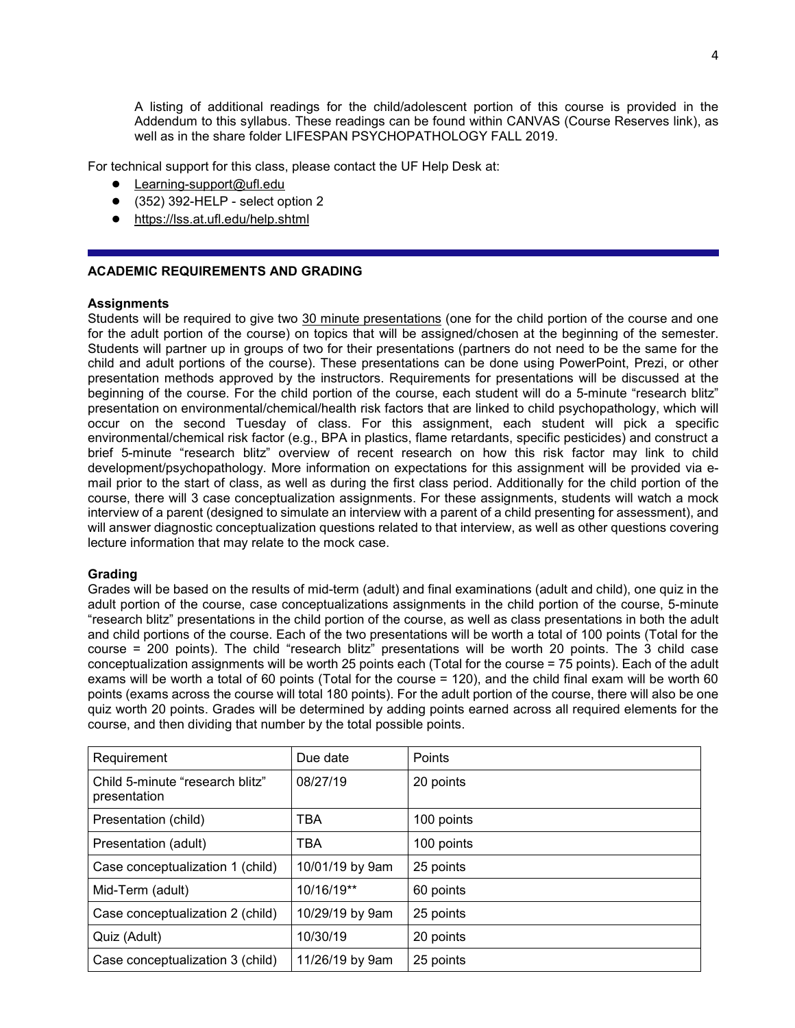A listing of additional readings for the child/adolescent portion of this course is provided in the Addendum to this syllabus. These readings can be found within CANVAS (Course Reserves link), as well as in the share folder LIFESPAN PSYCHOPATHOLOGY FALL 2019.

For technical support for this class, please contact the UF Help Desk at:

- Learning-support@ufl.edu
- $\bullet$  (352) 392-HELP select option 2
- <https://lss.at.ufl.edu/help.shtml>

### **ACADEMIC REQUIREMENTS AND GRADING**

#### **Assignments**

Students will be required to give two 30 minute presentations (one for the child portion of the course and one for the adult portion of the course) on topics that will be assigned/chosen at the beginning of the semester. Students will partner up in groups of two for their presentations (partners do not need to be the same for the child and adult portions of the course). These presentations can be done using PowerPoint, Prezi, or other presentation methods approved by the instructors. Requirements for presentations will be discussed at the beginning of the course. For the child portion of the course, each student will do a 5-minute "research blitz" presentation on environmental/chemical/health risk factors that are linked to child psychopathology, which will occur on the second Tuesday of class. For this assignment, each student will pick a specific environmental/chemical risk factor (e.g., BPA in plastics, flame retardants, specific pesticides) and construct a brief 5-minute "research blitz" overview of recent research on how this risk factor may link to child development/psychopathology. More information on expectations for this assignment will be provided via email prior to the start of class, as well as during the first class period. Additionally for the child portion of the course, there will 3 case conceptualization assignments. For these assignments, students will watch a mock interview of a parent (designed to simulate an interview with a parent of a child presenting for assessment), and will answer diagnostic conceptualization questions related to that interview, as well as other questions covering lecture information that may relate to the mock case.

#### **Grading**

Grades will be based on the results of mid-term (adult) and final examinations (adult and child), one quiz in the adult portion of the course, case conceptualizations assignments in the child portion of the course, 5-minute "research blitz" presentations in the child portion of the course, as well as class presentations in both the adult and child portions of the course. Each of the two presentations will be worth a total of 100 points (Total for the course = 200 points). The child "research blitz" presentations will be worth 20 points. The 3 child case conceptualization assignments will be worth 25 points each (Total for the course = 75 points). Each of the adult exams will be worth a total of 60 points (Total for the course = 120), and the child final exam will be worth 60 points (exams across the course will total 180 points). For the adult portion of the course, there will also be one quiz worth 20 points. Grades will be determined by adding points earned across all required elements for the course, and then dividing that number by the total possible points.

| Requirement                                     | Due date        | Points     |
|-------------------------------------------------|-----------------|------------|
| Child 5-minute "research blitz"<br>presentation | 08/27/19        | 20 points  |
| Presentation (child)                            | <b>TBA</b>      | 100 points |
| Presentation (adult)                            | <b>TBA</b>      | 100 points |
| Case conceptualization 1 (child)                | 10/01/19 by 9am | 25 points  |
| Mid-Term (adult)                                | 10/16/19**      | 60 points  |
| Case conceptualization 2 (child)                | 10/29/19 by 9am | 25 points  |
| Quiz (Adult)                                    | 10/30/19        | 20 points  |
| Case conceptualization 3 (child)                | 11/26/19 by 9am | 25 points  |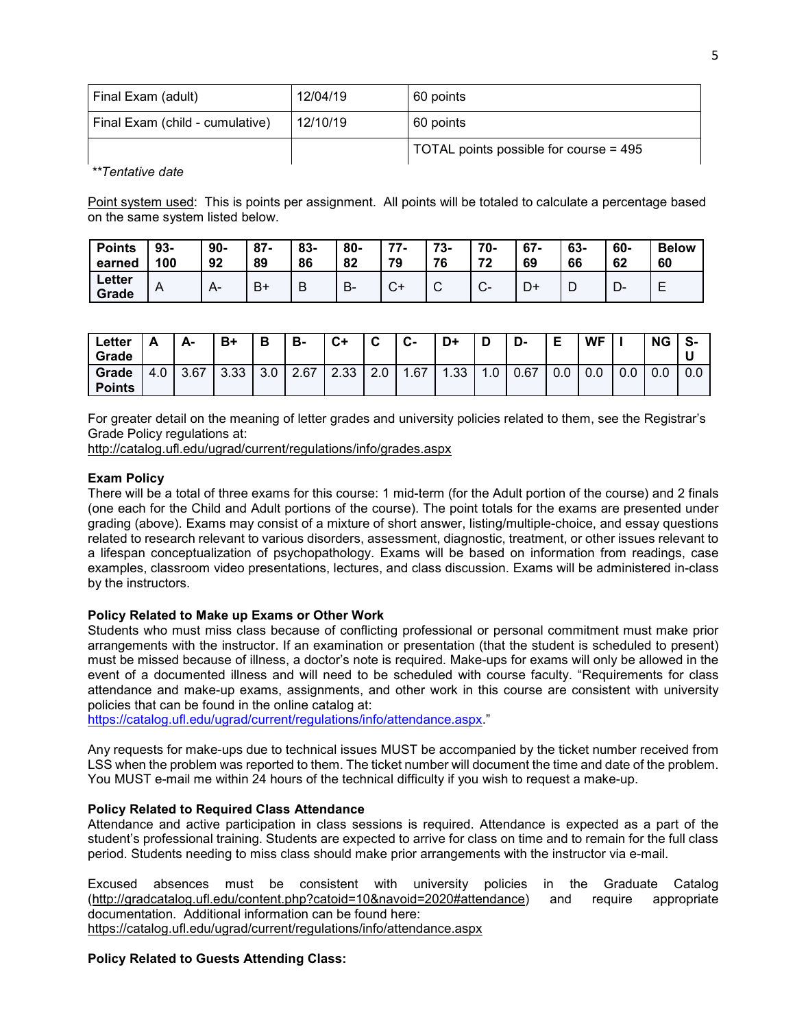| Final Exam (adult)              | 12/04/19 | 60 points                              |
|---------------------------------|----------|----------------------------------------|
| Final Exam (child - cumulative) | 12/10/19 | 60 points                              |
|                                 |          | TOTAL points possible for course = 495 |

*\*\*Tentative date*

Point system used: This is points per assignment. All points will be totaled to calculate a percentage based on the same system listed below.

| <b>Points</b>   | $93-$          | $90-$ | $87 -$ | $83 -$ | $80 -$  | 77               | 73- | 70-              | $67 -$ | 63- | 60-  | <b>Below</b> |
|-----------------|----------------|-------|--------|--------|---------|------------------|-----|------------------|--------|-----|------|--------------|
| earned          | 100            | 92    | 89     | 86     | 82      | 79               | 76  | 70               | 69     | 66  | 62   | 60           |
| Letter<br>Grade | $\overline{A}$ |       | B+     | D<br>D | D<br>D٠ | $\sim$<br>$\sim$ | ັ   | $\sim$<br>$\sim$ | D+     | ┗   | – ∪− |              |

| ∟etter<br>Grade        | n   | А-   | B+   | в         | в-   | $C+$ | ◠<br>v | <b>C-</b> | D+   | D   | -ט   | Е   | WF  |     | ΝG  | S-  |
|------------------------|-----|------|------|-----------|------|------|--------|-----------|------|-----|------|-----|-----|-----|-----|-----|
| Grade<br><b>Points</b> | 4.0 | 3.67 | 3.33 | 20<br>J.U | 2.67 | 2.33 | 2.0    | .67       | l.33 | . U | 0.67 | 0.0 | 0.0 | 0.0 | 0.0 | 0.0 |

For greater detail on the meaning of letter grades and university policies related to them, see the Registrar's Grade Policy regulations at:

<http://catalog.ufl.edu/ugrad/current/regulations/info/grades.aspx>

### **Exam Policy**

There will be a total of three exams for this course: 1 mid-term (for the Adult portion of the course) and 2 finals (one each for the Child and Adult portions of the course). The point totals for the exams are presented under grading (above). Exams may consist of a mixture of short answer, listing/multiple-choice, and essay questions related to research relevant to various disorders, assessment, diagnostic, treatment, or other issues relevant to a lifespan conceptualization of psychopathology. Exams will be based on information from readings, case examples, classroom video presentations, lectures, and class discussion. Exams will be administered in-class by the instructors.

#### **Policy Related to Make up Exams or Other Work**

Students who must miss class because of conflicting professional or personal commitment must make prior arrangements with the instructor. If an examination or presentation (that the student is scheduled to present) must be missed because of illness, a doctor's note is required. Make-ups for exams will only be allowed in the event of a documented illness and will need to be scheduled with course faculty. "Requirements for class attendance and make-up exams, assignments, and other work in this course are consistent with university policies that can be found in the online catalog at:

[https://catalog.ufl.edu/ugrad/current/regulations/info/attendance.aspx.](https://catalog.ufl.edu/ugrad/current/regulations/info/attendance.aspx)"

Any requests for make-ups due to technical issues MUST be accompanied by the ticket number received from LSS when the problem was reported to them. The ticket number will document the time and date of the problem. You MUST e-mail me within 24 hours of the technical difficulty if you wish to request a make-up.

### **Policy Related to Required Class Attendance**

Attendance and active participation in class sessions is required. Attendance is expected as a part of the student's professional training. Students are expected to arrive for class on time and to remain for the full class period. Students needing to miss class should make prior arrangements with the instructor via e-mail.

Excused absences must be consistent with university policies in the Graduate Catalog [\(http://gradcatalog.ufl.edu/content.php?catoid=10&navoid=2020#attendance\)](http://gradcatalog.ufl.edu/content.php?catoid=10&navoid=2020#attendance) and require appropriate documentation. Additional information can be found here: <https://catalog.ufl.edu/ugrad/current/regulations/info/attendance.aspx>

#### **Policy Related to Guests Attending Class:**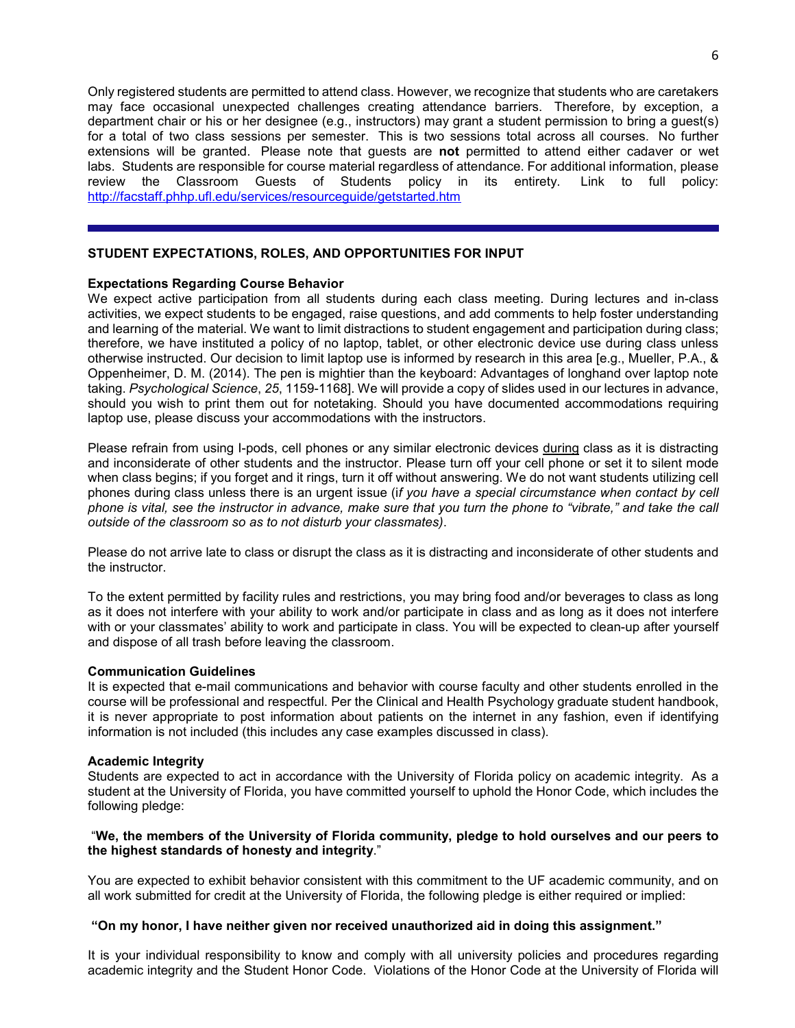Only registered students are permitted to attend class. However, we recognize that students who are caretakers may face occasional unexpected challenges creating attendance barriers. Therefore, by exception, a department chair or his or her designee (e.g., instructors) may grant a student permission to bring a guest(s) for a total of two class sessions per semester. This is two sessions total across all courses. No further extensions will be granted. Please note that guests are **not** permitted to attend either cadaver or wet labs. Students are responsible for course material regardless of attendance. For additional information, please review the Classroom Guests of Students policy in its entirety. Link to full policy: <http://facstaff.phhp.ufl.edu/services/resourceguide/getstarted.htm>

## **STUDENT EXPECTATIONS, ROLES, AND OPPORTUNITIES FOR INPUT**

### **Expectations Regarding Course Behavior**

We expect active participation from all students during each class meeting. During lectures and in-class activities, we expect students to be engaged, raise questions, and add comments to help foster understanding and learning of the material. We want to limit distractions to student engagement and participation during class; therefore, we have instituted a policy of no laptop, tablet, or other electronic device use during class unless otherwise instructed. Our decision to limit laptop use is informed by research in this area [e.g., Mueller, P.A., & Oppenheimer, D. M. (2014). The pen is mightier than the keyboard: Advantages of longhand over laptop note taking. *Psychological Science*, *25*, 1159-1168]. We will provide a copy of slides used in our lectures in advance, should you wish to print them out for notetaking. Should you have documented accommodations requiring laptop use, please discuss your accommodations with the instructors.

Please refrain from using I-pods, cell phones or any similar electronic devices during class as it is distracting and inconsiderate of other students and the instructor. Please turn off your cell phone or set it to silent mode when class begins; if you forget and it rings, turn it off without answering. We do not want students utilizing cell phones during class unless there is an urgent issue (i*f you have a special circumstance when contact by cell phone is vital, see the instructor in advance, make sure that you turn the phone to "vibrate," and take the call outside of the classroom so as to not disturb your classmates)*.

Please do not arrive late to class or disrupt the class as it is distracting and inconsiderate of other students and the instructor.

To the extent permitted by facility rules and restrictions, you may bring food and/or beverages to class as long as it does not interfere with your ability to work and/or participate in class and as long as it does not interfere with or your classmates' ability to work and participate in class. You will be expected to clean-up after yourself and dispose of all trash before leaving the classroom.

#### **Communication Guidelines**

It is expected that e-mail communications and behavior with course faculty and other students enrolled in the course will be professional and respectful. Per the Clinical and Health Psychology graduate student handbook, it is never appropriate to post information about patients on the internet in any fashion, even if identifying information is not included (this includes any case examples discussed in class).

#### **Academic Integrity**

Students are expected to act in accordance with the University of Florida policy on academic integrity. As a student at the University of Florida, you have committed yourself to uphold the Honor Code, which includes the following pledge:

### "**We, the members of the University of Florida community, pledge to hold ourselves and our peers to the highest standards of honesty and integrity**."

You are expected to exhibit behavior consistent with this commitment to the UF academic community, and on all work submitted for credit at the University of Florida, the following pledge is either required or implied:

### **"On my honor, I have neither given nor received unauthorized aid in doing this assignment."**

It is your individual responsibility to know and comply with all university policies and procedures regarding academic integrity and the Student Honor Code. Violations of the Honor Code at the University of Florida will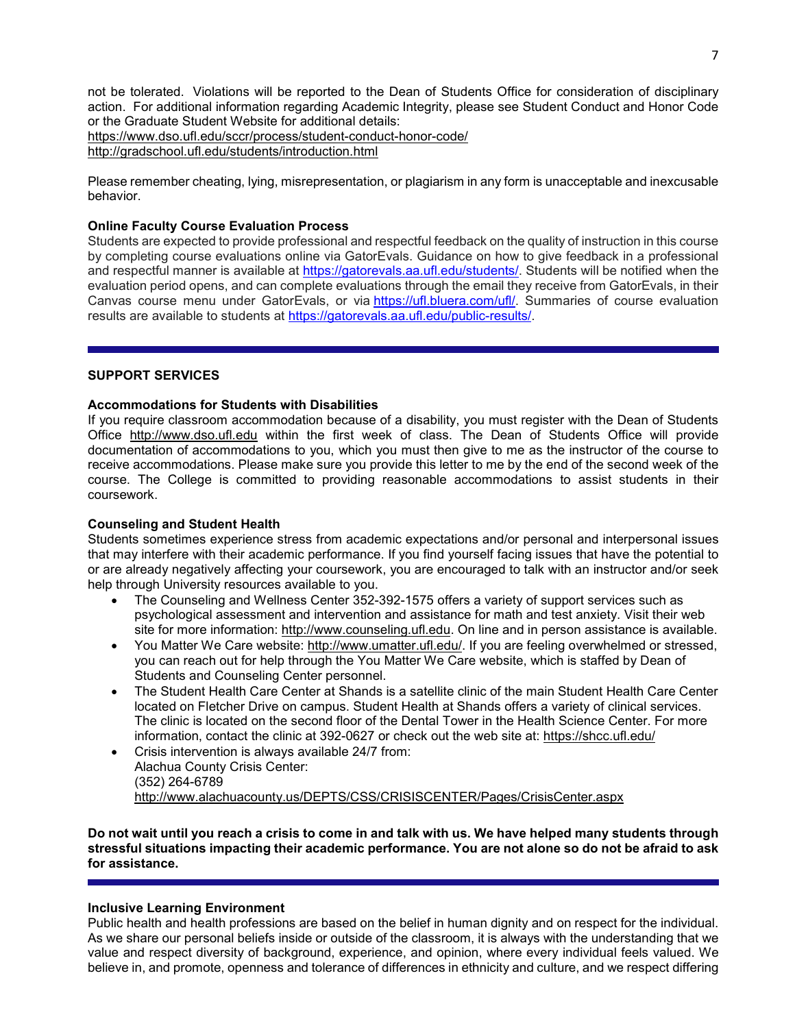not be tolerated. Violations will be reported to the Dean of Students Office for consideration of disciplinary action. For additional information regarding Academic Integrity, please see Student Conduct and Honor Code or the Graduate Student Website for additional details: <https://www.dso.ufl.edu/sccr/process/student-conduct-honor-code/> <http://gradschool.ufl.edu/students/introduction.html>

Please remember cheating, lying, misrepresentation, or plagiarism in any form is unacceptable and inexcusable behavior.

### **Online Faculty Course Evaluation Process**

Students are expected to provide professional and respectful feedback on the quality of instruction in this course by completing course evaluations online via GatorEvals. Guidance on how to give feedback in a professional and respectful manner is available at [https://gatorevals.aa.ufl.edu/students/.](https://gatorevals.aa.ufl.edu/students/) Students will be notified when the evaluation period opens, and can complete evaluations through the email they receive from GatorEvals, in their Canvas course menu under GatorEvals, or via [https://ufl.bluera.com/ufl/.](https://urldefense.proofpoint.com/v2/url?u=https-3A__ufl.bluera.com_ufl_&d=DwMFAg&c=sJ6xIWYx-zLMB3EPkvcnVg&r=y2HjEMjRMHJhfdvLrqJZlYczRsfp5e4TfQjHuc5rVHg&m=WXko6OK_Ha6T00ZVAsEaSh99qRXHOgMNFRywCoehRho&s=itVU46DDJjnIg4CW6efJOOLgPjdzsPvCghyfzJoFONs&e=) Summaries of course evaluation results are available to students at [https://gatorevals.aa.ufl.edu/public-results/.](https://gatorevals.aa.ufl.edu/public-results/)

### **SUPPORT SERVICES**

#### **Accommodations for Students with Disabilities**

If you require classroom accommodation because of a disability, you must register with the Dean of Students Office [http://www.dso.ufl.edu](http://www.dso.ufl.edu/) within the first week of class. The Dean of Students Office will provide documentation of accommodations to you, which you must then give to me as the instructor of the course to receive accommodations. Please make sure you provide this letter to me by the end of the second week of the course. The College is committed to providing reasonable accommodations to assist students in their coursework.

## **Counseling and Student Health**

Students sometimes experience stress from academic expectations and/or personal and interpersonal issues that may interfere with their academic performance. If you find yourself facing issues that have the potential to or are already negatively affecting your coursework, you are encouraged to talk with an instructor and/or seek help through University resources available to you.

- The Counseling and Wellness Center 352-392-1575 offers a variety of support services such as psychological assessment and intervention and assistance for math and test anxiety. Visit their web site for more information: [http://www.counseling.ufl.edu.](http://www.counseling.ufl.edu/) On line and in person assistance is available.
- You Matter We Care website: [http://www.umatter.ufl.edu/.](http://www.umatter.ufl.edu/) If you are feeling overwhelmed or stressed, you can reach out for help through the You Matter We Care website, which is staffed by Dean of Students and Counseling Center personnel.
- The Student Health Care Center at Shands is a satellite clinic of the main Student Health Care Center located on Fletcher Drive on campus. Student Health at Shands offers a variety of clinical services. The clinic is located on the second floor of the Dental Tower in the Health Science Center. For more information, contact the clinic at 392-0627 or check out the web site at: <https://shcc.ufl.edu/>
- Crisis intervention is always available 24/7 from: Alachua County Crisis Center: (352) 264-6789 <http://www.alachuacounty.us/DEPTS/CSS/CRISISCENTER/Pages/CrisisCenter.aspx>

**Do not wait until you reach a crisis to come in and talk with us. We have helped many students through stressful situations impacting their academic performance. You are not alone so do not be afraid to ask for assistance.**

## **Inclusive Learning Environment**

Public health and health professions are based on the belief in human dignity and on respect for the individual. As we share our personal beliefs inside or outside of the classroom, it is always with the understanding that we value and respect diversity of background, experience, and opinion, where every individual feels valued. We believe in, and promote, openness and tolerance of differences in ethnicity and culture, and we respect differing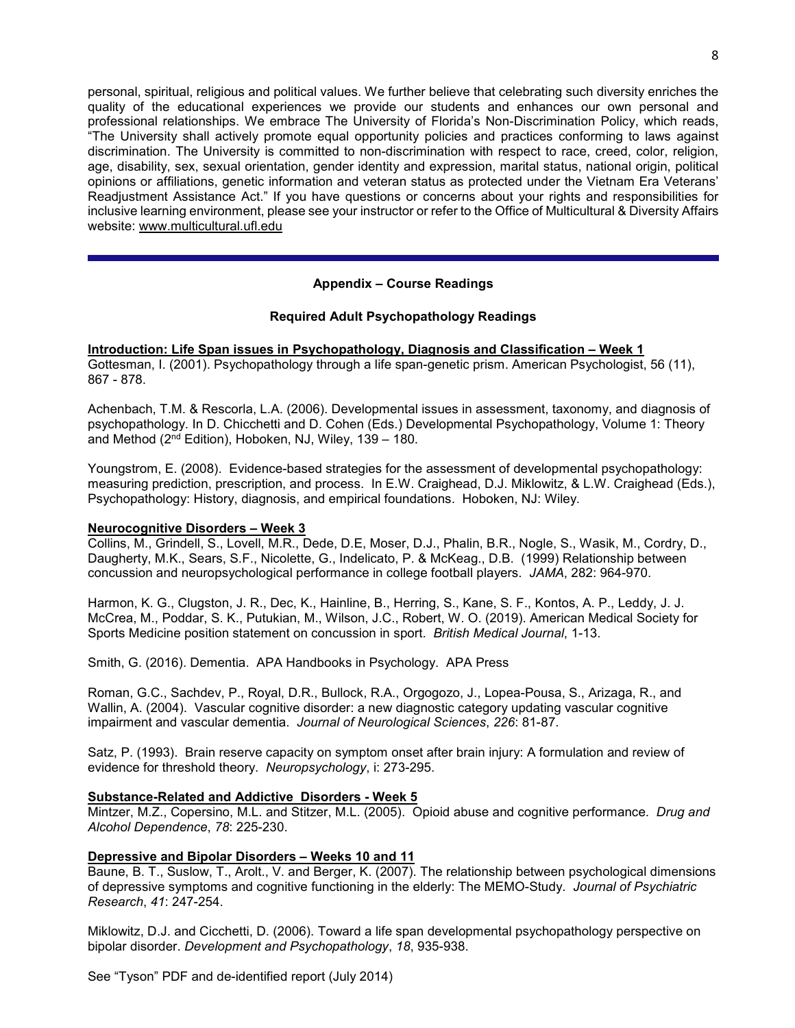personal, spiritual, religious and political values. We further believe that celebrating such diversity enriches the quality of the educational experiences we provide our students and enhances our own personal and professional relationships. We embrace The University of Florida's Non-Discrimination Policy, which reads, "The University shall actively promote equal opportunity policies and practices conforming to laws against discrimination. The University is committed to non-discrimination with respect to race, creed, color, religion, age, disability, sex, sexual orientation, gender identity and expression, marital status, national origin, political opinions or affiliations, genetic information and veteran status as protected under the Vietnam Era Veterans' Readjustment Assistance Act." If you have questions or concerns about your rights and responsibilities for inclusive learning environment, please see your instructor or refer to the Office of Multicultural & Diversity Affairs website: [www.multicultural.ufl.edu](http://www.multicultural.ufl.edu/)

## **Appendix – Course Readings**

## **Required Adult Psychopathology Readings**

**Introduction: Life Span issues in Psychopathology, Diagnosis and Classification – Week 1** Gottesman, I. (2001). Psychopathology through a life span-genetic prism. American Psychologist, 56 (11), 867 - 878.

Achenbach, T.M. & Rescorla, L.A. (2006). Developmental issues in assessment, taxonomy, and diagnosis of psychopathology. In D. Chicchetti and D. Cohen (Eds.) Developmental Psychopathology, Volume 1: Theory and Method (2nd Edition), Hoboken, NJ, Wiley, 139 – 180.

Youngstrom, E. (2008). Evidence-based strategies for the assessment of developmental psychopathology: measuring prediction, prescription, and process. In E.W. Craighead, D.J. Miklowitz, & L.W. Craighead (Eds.), Psychopathology: History, diagnosis, and empirical foundations. Hoboken, NJ: Wiley.

## **Neurocognitive Disorders – Week 3**

Collins, M., Grindell, S., Lovell, M.R., Dede, D.E, Moser, D.J., Phalin, B.R., Nogle, S., Wasik, M., Cordry, D., Daugherty, M.K., Sears, S.F., Nicolette, G., Indelicato, P. & McKeag., D.B. (1999) Relationship between concussion and neuropsychological performance in college football players. *JAMA*, 282: 964-970.

Harmon, K. G., Clugston, J. R., Dec, K., Hainline, B., Herring, S., Kane, S. F., Kontos, A. P., Leddy, J. J. McCrea, M., Poddar, S. K., Putukian, M., Wilson, J.C., Robert, W. O. (2019). American Medical Society for Sports Medicine position statement on concussion in sport. *British Medical Journal*, 1-13.

Smith, G. (2016). Dementia. APA Handbooks in Psychology. APA Press

Roman, G.C., Sachdev, P., Royal, D.R., Bullock, R.A., Orgogozo, J., Lopea-Pousa, S., Arizaga, R., and Wallin, A. (2004). Vascular cognitive disorder: a new diagnostic category updating vascular cognitive impairment and vascular dementia. *Journal of Neurological Sciences*, *226*: 81-87.

Satz, P. (1993). Brain reserve capacity on symptom onset after brain injury: A formulation and review of evidence for threshold theory. *Neuropsychology*, i: 273-295.

## **Substance-Related and Addictive Disorders - Week 5**

Mintzer, M.Z., Copersino, M.L. and Stitzer, M.L. (2005). Opioid abuse and cognitive performance. *Drug and Alcohol Dependence*, *78*: 225-230.

## **Depressive and Bipolar Disorders – Weeks 10 and 11**

Baune, B. T., Suslow, T., Arolt., V. and Berger, K. (2007). The relationship between psychological dimensions of depressive symptoms and cognitive functioning in the elderly: The MEMO-Study. *Journal of Psychiatric Research*, *41*: 247-254.

Miklowitz, D.J. and Cicchetti, D. (2006). Toward a life span developmental psychopathology perspective on bipolar disorder. *Development and Psychopathology*, *18*, 935-938.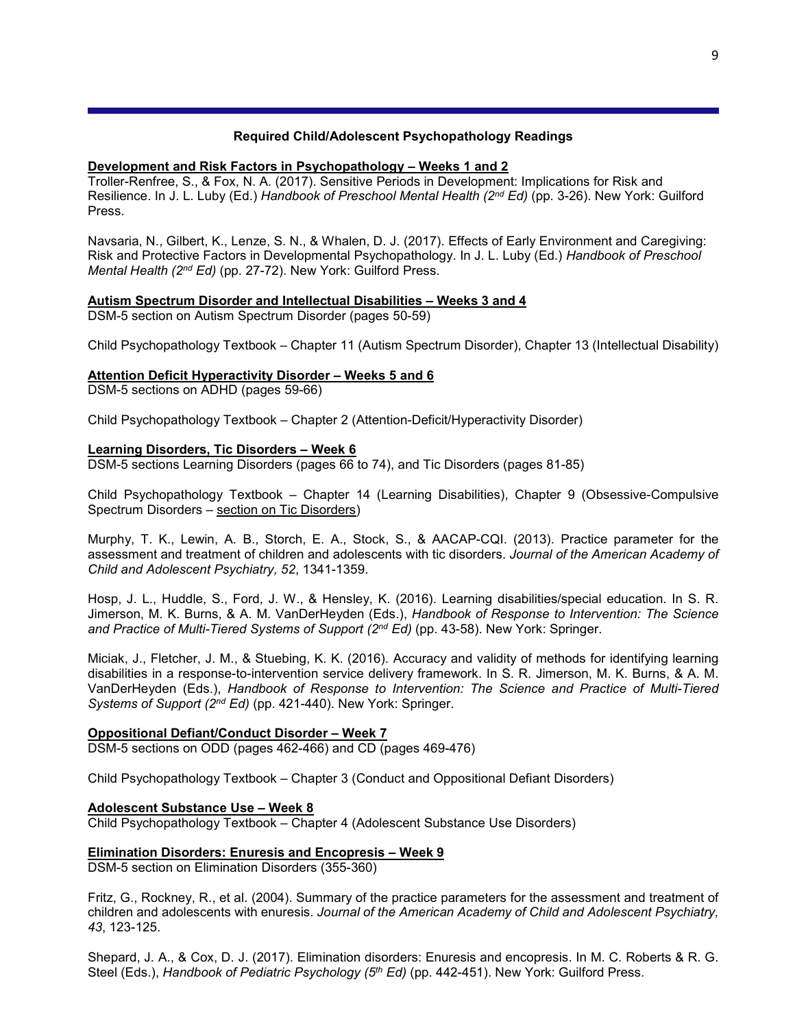## **Required Child/Adolescent Psychopathology Readings**

## **Development and Risk Factors in Psychopathology – Weeks 1 and 2**

Troller-Renfree, S., & Fox, N. A. (2017). Sensitive Periods in Development: Implications for Risk and Resilience. In J. L. Luby (Ed.) *Handbook of Preschool Mental Health (2nd Ed)* (pp. 3-26). New York: Guilford Press.

Navsaria, N., Gilbert, K., Lenze, S. N., & Whalen, D. J. (2017). Effects of Early Environment and Caregiving: Risk and Protective Factors in Developmental Psychopathology. In J. L. Luby (Ed.) *Handbook of Preschool Mental Health (2nd Ed)* (pp. 27-72). New York: Guilford Press.

## **Autism Spectrum Disorder and Intellectual Disabilities – Weeks 3 and 4**

DSM-5 section on Autism Spectrum Disorder (pages 50-59)

Child Psychopathology Textbook – Chapter 11 (Autism Spectrum Disorder), Chapter 13 (Intellectual Disability)

## **Attention Deficit Hyperactivity Disorder – Weeks 5 and 6**

DSM-5 sections on ADHD (pages 59-66)

Child Psychopathology Textbook – Chapter 2 (Attention-Deficit/Hyperactivity Disorder)

## **Learning Disorders, Tic Disorders – Week 6**

DSM-5 sections Learning Disorders (pages 66 to 74), and Tic Disorders (pages 81-85)

Child Psychopathology Textbook – Chapter 14 (Learning Disabilities), Chapter 9 (Obsessive-Compulsive Spectrum Disorders – section on Tic Disorders)

Murphy, T. K., Lewin, A. B., Storch, E. A., Stock, S., & AACAP-CQI. (2013). Practice parameter for the assessment and treatment of children and adolescents with tic disorders. *Journal of the American Academy of Child and Adolescent Psychiatry, 52*, 1341-1359.

Hosp, J. L., Huddle, S., Ford, J. W., & Hensley, K. (2016). Learning disabilities/special education. In S. R. Jimerson, M. K. Burns, & A. M. VanDerHeyden (Eds.), *Handbook of Response to Intervention: The Science and Practice of Multi-Tiered Systems of Support (2nd Ed)* (pp. 43-58). New York: Springer.

Miciak, J., Fletcher, J. M., & Stuebing, K. K. (2016). Accuracy and validity of methods for identifying learning disabilities in a response-to-intervention service delivery framework. In S. R. Jimerson, M. K. Burns, & A. M. VanDerHeyden (Eds.), *Handbook of Response to Intervention: The Science and Practice of Multi-Tiered Systems of Support (2nd Ed)* (pp. 421-440). New York: Springer.

# **Oppositional Defiant/Conduct Disorder – Week 7**

DSM-5 sections on ODD (pages 462-466) and CD (pages 469-476)

Child Psychopathology Textbook – Chapter 3 (Conduct and Oppositional Defiant Disorders)

## **Adolescent Substance Use – Week 8**

Child Psychopathology Textbook – Chapter 4 (Adolescent Substance Use Disorders)

# **Elimination Disorders: Enuresis and Encopresis – Week 9**

DSM-5 section on Elimination Disorders (355-360)

Fritz, G., Rockney, R., et al. (2004). Summary of the practice parameters for the assessment and treatment of children and adolescents with enuresis. *Journal of the American Academy of Child and Adolescent Psychiatry, 43*, 123-125.

Shepard, J. A., & Cox, D. J. (2017). Elimination disorders: Enuresis and encopresis. In M. C. Roberts & R. G. Steel (Eds.), *Handbook of Pediatric Psychology (5th Ed)* (pp. 442-451). New York: Guilford Press.